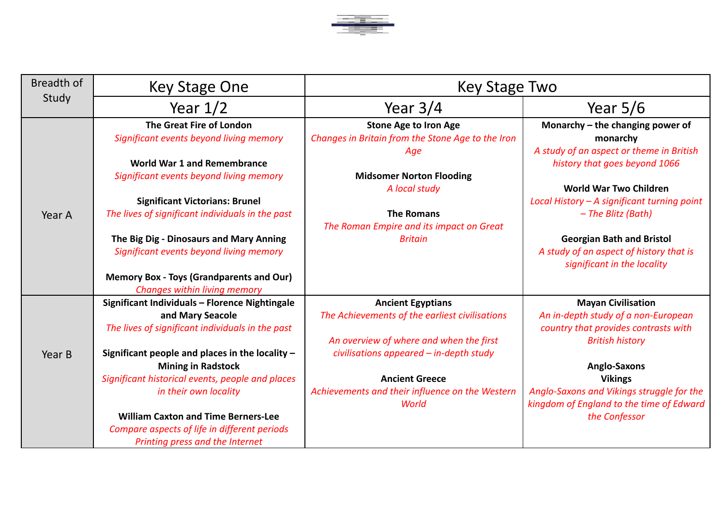

| Breadth of | Key Stage One                                    | <b>Key Stage Two</b>                              |                                             |
|------------|--------------------------------------------------|---------------------------------------------------|---------------------------------------------|
| Study      | Year $1/2$                                       | Year $3/4$                                        | Year $5/6$                                  |
|            | The Great Fire of London                         | <b>Stone Age to Iron Age</b>                      | Monarchy - the changing power of            |
|            | Significant events beyond living memory          | Changes in Britain from the Stone Age to the Iron | monarchy                                    |
|            |                                                  | Age                                               | A study of an aspect or theme in British    |
|            | <b>World War 1 and Remembrance</b>               |                                                   | history that goes beyond 1066               |
|            | Significant events beyond living memory          | <b>Midsomer Norton Flooding</b>                   |                                             |
|            |                                                  | A local study                                     | <b>World War Two Children</b>               |
|            | <b>Significant Victorians: Brunel</b>            |                                                   | Local History - A significant turning point |
| Year A     | The lives of significant individuals in the past | <b>The Romans</b>                                 | - The Blitz (Bath)                          |
|            |                                                  | The Roman Empire and its impact on Great          |                                             |
|            | The Big Dig - Dinosaurs and Mary Anning          | <b>Britain</b>                                    | <b>Georgian Bath and Bristol</b>            |
|            | Significant events beyond living memory          |                                                   | A study of an aspect of history that is     |
|            |                                                  |                                                   | significant in the locality                 |
|            | <b>Memory Box - Toys (Grandparents and Our)</b>  |                                                   |                                             |
|            | Changes within living memory                     |                                                   |                                             |
|            | Significant Individuals - Florence Nightingale   | <b>Ancient Egyptians</b>                          | <b>Mayan Civilisation</b>                   |
|            | and Mary Seacole                                 | The Achievements of the earliest civilisations    | An in-depth study of a non-European         |
|            | The lives of significant individuals in the past |                                                   | country that provides contrasts with        |
|            |                                                  | An overview of where and when the first           | <b>British history</b>                      |
| Year B     | Significant people and places in the locality -  | civilisations appeared - in-depth study           |                                             |
|            | <b>Mining in Radstock</b>                        |                                                   | <b>Anglo-Saxons</b>                         |
|            | Significant historical events, people and places | <b>Ancient Greece</b>                             | <b>Vikings</b>                              |
|            | in their own locality                            | Achievements and their influence on the Western   | Anglo-Saxons and Vikings struggle for the   |
|            |                                                  | World                                             | kingdom of England to the time of Edward    |
|            | <b>William Caxton and Time Berners-Lee</b>       |                                                   | the Confessor                               |
|            | Compare aspects of life in different periods     |                                                   |                                             |
|            | Printing press and the Internet                  |                                                   |                                             |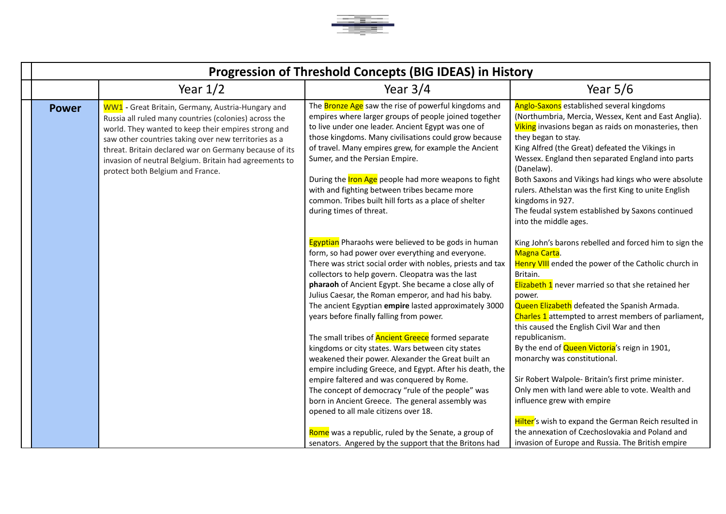

| Progression of Threshold Concepts (BIG IDEAS) in History |                                                                                                                                                                                                                                                                                                                                                                                   |                                                                                                                                                                                                                                                                                                                                                                                                                                                                                                                                   |                                                                                                                                                                                                                                                                                                                                                                                                                                                                                                                          |
|----------------------------------------------------------|-----------------------------------------------------------------------------------------------------------------------------------------------------------------------------------------------------------------------------------------------------------------------------------------------------------------------------------------------------------------------------------|-----------------------------------------------------------------------------------------------------------------------------------------------------------------------------------------------------------------------------------------------------------------------------------------------------------------------------------------------------------------------------------------------------------------------------------------------------------------------------------------------------------------------------------|--------------------------------------------------------------------------------------------------------------------------------------------------------------------------------------------------------------------------------------------------------------------------------------------------------------------------------------------------------------------------------------------------------------------------------------------------------------------------------------------------------------------------|
|                                                          | Year $1/2$                                                                                                                                                                                                                                                                                                                                                                        | Year $3/4$                                                                                                                                                                                                                                                                                                                                                                                                                                                                                                                        | Year $5/6$                                                                                                                                                                                                                                                                                                                                                                                                                                                                                                               |
| <b>Power</b>                                             | WW1 - Great Britain, Germany, Austria-Hungary and<br>Russia all ruled many countries (colonies) across the<br>world. They wanted to keep their empires strong and<br>saw other countries taking over new territories as a<br>threat. Britain declared war on Germany because of its<br>invasion of neutral Belgium. Britain had agreements to<br>protect both Belgium and France. | The <b>Bronze Age</b> saw the rise of powerful kingdoms and<br>empires where larger groups of people joined together<br>to live under one leader. Ancient Egypt was one of<br>those kingdoms. Many civilisations could grow because<br>of travel. Many empires grew, for example the Ancient<br>Sumer, and the Persian Empire.<br>During the <b>Iron Age</b> people had more weapons to fight<br>with and fighting between tribes became more<br>common. Tribes built hill forts as a place of shelter<br>during times of threat. | Anglo-Saxons established several kingdoms<br>(Northumbria, Mercia, Wessex, Kent and East Anglia).<br>Viking invasions began as raids on monasteries, then<br>they began to stay.<br>King Alfred (the Great) defeated the Vikings in<br>Wessex. England then separated England into parts<br>(Danelaw).<br>Both Saxons and Vikings had kings who were absolute<br>rulers. Athelstan was the first King to unite English<br>kingdoms in 927.<br>The feudal system established by Saxons continued<br>into the middle ages. |
|                                                          |                                                                                                                                                                                                                                                                                                                                                                                   | <b>Egyptian</b> Pharaohs were believed to be gods in human<br>form, so had power over everything and everyone.<br>There was strict social order with nobles, priests and tax<br>collectors to help govern. Cleopatra was the last<br>pharaoh of Ancient Egypt. She became a close ally of<br>Julius Caesar, the Roman emperor, and had his baby.<br>The ancient Egyptian empire lasted approximately 3000<br>years before finally falling from power.                                                                             | King John's barons rebelled and forced him to sign the<br>Magna Carta.<br>Henry VIII ended the power of the Catholic church in<br>Britain.<br>Elizabeth 1 never married so that she retained her<br>power.<br>Queen Elizabeth defeated the Spanish Armada.<br>Charles 1 attempted to arrest members of parliament,<br>this caused the English Civil War and then                                                                                                                                                         |
|                                                          |                                                                                                                                                                                                                                                                                                                                                                                   | The small tribes of <b>Ancient Greece</b> formed separate<br>kingdoms or city states. Wars between city states<br>weakened their power. Alexander the Great built an<br>empire including Greece, and Egypt. After his death, the<br>empire faltered and was conquered by Rome.<br>The concept of democracy "rule of the people" was<br>born in Ancient Greece. The general assembly was<br>opened to all male citizens over 18.                                                                                                   | republicanism.<br>By the end of Queen Victoria's reign in 1901,<br>monarchy was constitutional.<br>Sir Robert Walpole- Britain's first prime minister.<br>Only men with land were able to vote. Wealth and<br>influence grew with empire<br>Hilter's wish to expand the German Reich resulted in                                                                                                                                                                                                                         |
|                                                          |                                                                                                                                                                                                                                                                                                                                                                                   | Rome was a republic, ruled by the Senate, a group of<br>senators. Angered by the support that the Britons had                                                                                                                                                                                                                                                                                                                                                                                                                     | the annexation of Czechoslovakia and Poland and<br>invasion of Europe and Russia. The British empire                                                                                                                                                                                                                                                                                                                                                                                                                     |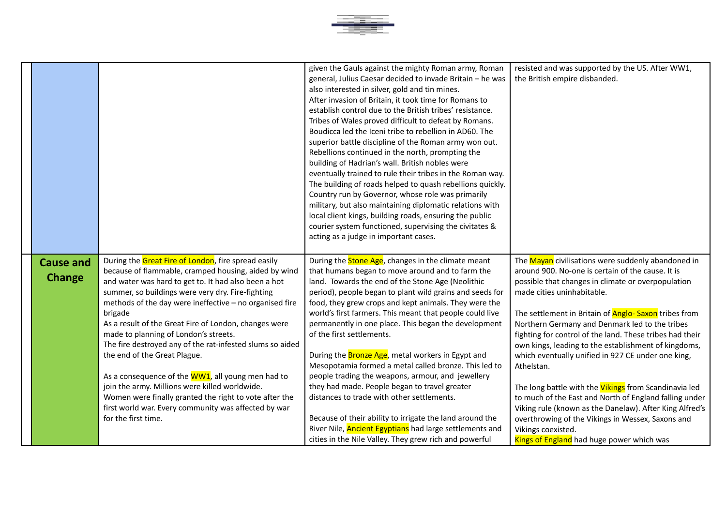

|                                   |                                                                                                                                                                                                                                                                                                                                                                                                                                                                                                                                                                                                                                                                                                                                               | given the Gauls against the mighty Roman army, Roman<br>general, Julius Caesar decided to invade Britain - he was<br>also interested in silver, gold and tin mines.<br>After invasion of Britain, it took time for Romans to<br>establish control due to the British tribes' resistance.<br>Tribes of Wales proved difficult to defeat by Romans.<br>Boudicca led the Iceni tribe to rebellion in AD60. The<br>superior battle discipline of the Roman army won out.<br>Rebellions continued in the north, prompting the<br>building of Hadrian's wall. British nobles were<br>eventually trained to rule their tribes in the Roman way.<br>The building of roads helped to quash rebellions quickly.<br>Country run by Governor, whose role was primarily<br>military, but also maintaining diplomatic relations with<br>local client kings, building roads, ensuring the public<br>courier system functioned, supervising the civitates &<br>acting as a judge in important cases. | resisted and was supported by the US. After WW1,<br>the British empire disbanded.                                                                                                                                                                                                                                                                                                                                                                                                                                                                                                                                                                                                                                                                                                                                 |
|-----------------------------------|-----------------------------------------------------------------------------------------------------------------------------------------------------------------------------------------------------------------------------------------------------------------------------------------------------------------------------------------------------------------------------------------------------------------------------------------------------------------------------------------------------------------------------------------------------------------------------------------------------------------------------------------------------------------------------------------------------------------------------------------------|--------------------------------------------------------------------------------------------------------------------------------------------------------------------------------------------------------------------------------------------------------------------------------------------------------------------------------------------------------------------------------------------------------------------------------------------------------------------------------------------------------------------------------------------------------------------------------------------------------------------------------------------------------------------------------------------------------------------------------------------------------------------------------------------------------------------------------------------------------------------------------------------------------------------------------------------------------------------------------------|-------------------------------------------------------------------------------------------------------------------------------------------------------------------------------------------------------------------------------------------------------------------------------------------------------------------------------------------------------------------------------------------------------------------------------------------------------------------------------------------------------------------------------------------------------------------------------------------------------------------------------------------------------------------------------------------------------------------------------------------------------------------------------------------------------------------|
| <b>Cause and</b><br><b>Change</b> | During the Great Fire of London, fire spread easily<br>because of flammable, cramped housing, aided by wind<br>and water was hard to get to. It had also been a hot<br>summer, so buildings were very dry. Fire-fighting<br>methods of the day were ineffective - no organised fire<br>brigade<br>As a result of the Great Fire of London, changes were<br>made to planning of London's streets.<br>The fire destroyed any of the rat-infested slums so aided<br>the end of the Great Plague.<br>As a consequence of the WW1, all young men had to<br>join the army. Millions were killed worldwide.<br>Women were finally granted the right to vote after the<br>first world war. Every community was affected by war<br>for the first time. | During the <b>Stone Age</b> , changes in the climate meant<br>that humans began to move around and to farm the<br>land. Towards the end of the Stone Age (Neolithic<br>period), people began to plant wild grains and seeds for<br>food, they grew crops and kept animals. They were the<br>world's first farmers. This meant that people could live<br>permanently in one place. This began the development<br>of the first settlements.<br>During the <b>Bronze Age</b> , metal workers in Egypt and<br>Mesopotamia formed a metal called bronze. This led to<br>people trading the weapons, armour, and jewellery<br>they had made. People began to travel greater<br>distances to trade with other settlements.<br>Because of their ability to irrigate the land around the<br>River Nile, <b>Ancient Egyptians</b> had large settlements and<br>cities in the Nile Valley. They grew rich and powerful                                                                          | The Mayan civilisations were suddenly abandoned in<br>around 900. No-one is certain of the cause. It is<br>possible that changes in climate or overpopulation<br>made cities uninhabitable.<br>The settlement in Britain of <b>Anglo-Saxon</b> tribes from<br>Northern Germany and Denmark led to the tribes<br>fighting for control of the land. These tribes had their<br>own kings, leading to the establishment of kingdoms,<br>which eventually unified in 927 CE under one king,<br>Athelstan.<br>The long battle with the <b>Vikings</b> from Scandinavia led<br>to much of the East and North of England falling under<br>Viking rule (known as the Danelaw). After King Alfred's<br>overthrowing of the Vikings in Wessex, Saxons and<br>Vikings coexisted.<br>Kings of England had huge power which was |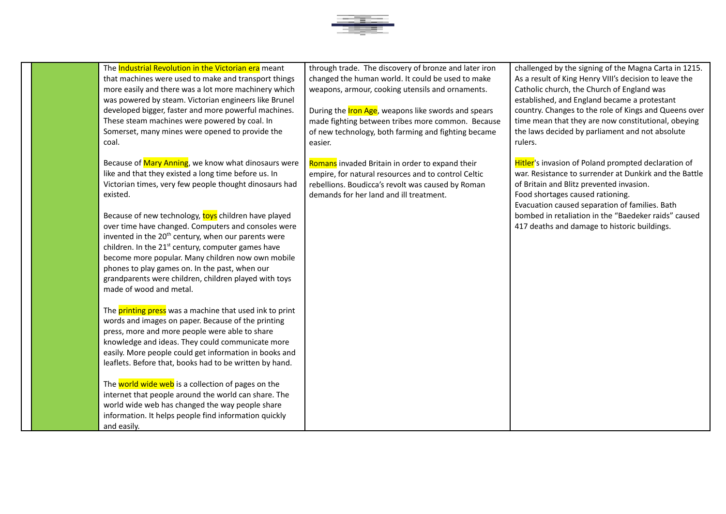

The **Industrial Revolution in the Victorian era** meant that machines were used to make and transport things more easily and there was a lot more machinery which was powered by steam. Victorian engineers like Brunel developed bigger, faster and more powerful machines. These steam machines were powered by coal. In Somerset, many mines were opened to provide the coal.

Because of Mary Anning, we know what dinosaurs were like and that they existed a long time before us. In Victorian times, very few people thought dinosaurs had existed.

Because of new technology, toys children have played over time have changed. Computers and consoles were invented in the 20<sup>th</sup> century, when our parents were children. In the  $21<sup>st</sup>$  century, computer games have become more popular. Many children now own mobile phones to play games on. In the past, when our grandparents were children, children played with toys made of wood and metal.

The **printing press** was a machine that used ink to print words and images on paper. Because of the printing press, more and more people were able to share knowledge and ideas. They could communicate more easily. More people could get information in books and leaflets. Before that, books had to be written by hand.

The world wide web is a collection of pages on the internet that people around the world can share. The world wide web has changed the way people share information. It helps people find information quickly and easily.

through trade. The discovery of bronze and later iron changed the human world. It could be used to make weapons, armour, cooking utensils and ornaments.

During the Iron Age, weapons like swords and spears made fighting between tribes more common. Because of new technology, both farming and fighting became easier.

Romans invaded Britain in order to expand their empire, for natural resources and to control Celtic rebellions. Boudicca's revolt was caused by Roman demands for her land and ill treatment.

challenged by the signing of the Magna Carta in 1215. As a result of King Henry VIII's decision to leave the Catholic church, the Church of England was established, and England became a protestant country. Changes to the role of Kings and Queens over time mean that they are now constitutional, obeying the laws decided by parliament and not absolute rulers.

**Hitler's invasion of Poland prompted declaration of** war. Resistance to surrender at Dunkirk and the Battle of Britain and Blitz prevented invasion. Food shortages caused rationing. Evacuation caused separation of families. Bath bombed in retaliation in the "Baedeker raids" caused 417 deaths and damage to historic buildings.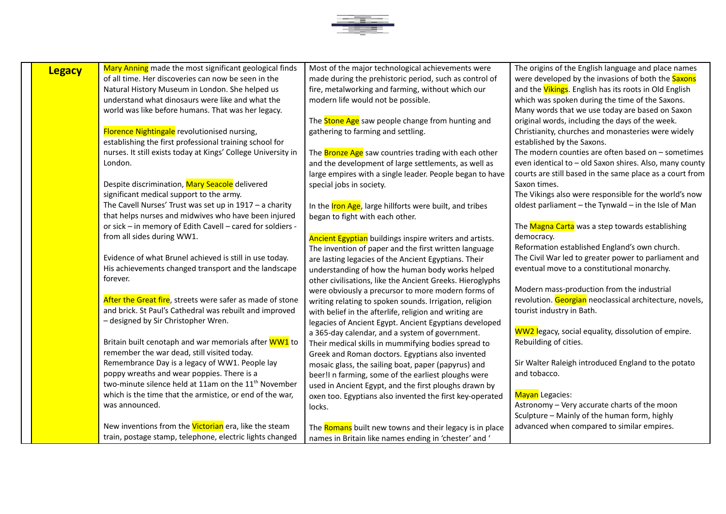

| Mary Anning made the most significant geological finds<br>Most of the major technological achievements were<br>The origins of the English language and place names<br><b>Legacy</b><br>of all time. Her discoveries can now be seen in the<br>made during the prehistoric period, such as control of<br>were developed by the invasions of both the Saxons |  |
|------------------------------------------------------------------------------------------------------------------------------------------------------------------------------------------------------------------------------------------------------------------------------------------------------------------------------------------------------------|--|
|                                                                                                                                                                                                                                                                                                                                                            |  |
|                                                                                                                                                                                                                                                                                                                                                            |  |
| Natural History Museum in London. She helped us<br>fire, metalworking and farming, without which our<br>and the Vikings. English has its roots in Old English                                                                                                                                                                                              |  |
| understand what dinosaurs were like and what the<br>modern life would not be possible.<br>which was spoken during the time of the Saxons.                                                                                                                                                                                                                  |  |
| world was like before humans. That was her legacy.<br>Many words that we use today are based on Saxon                                                                                                                                                                                                                                                      |  |
| The <b>Stone Age</b> saw people change from hunting and<br>original words, including the days of the week.                                                                                                                                                                                                                                                 |  |
| Florence Nightingale revolutionised nursing,<br>gathering to farming and settling.<br>Christianity, churches and monasteries were widely                                                                                                                                                                                                                   |  |
| establishing the first professional training school for<br>established by the Saxons.                                                                                                                                                                                                                                                                      |  |
| The modern counties are often based on $-$ sometimes<br>nurses. It still exists today at Kings' College University in<br>The <b>Bronze Age</b> saw countries trading with each other                                                                                                                                                                       |  |
| London.<br>even identical to - old Saxon shires. Also, many county<br>and the development of large settlements, as well as                                                                                                                                                                                                                                 |  |
| courts are still based in the same place as a court from<br>large empires with a single leader. People began to have                                                                                                                                                                                                                                       |  |
| Despite discrimination, Mary Seacole delivered<br>Saxon times.<br>special jobs in society.                                                                                                                                                                                                                                                                 |  |
| The Vikings also were responsible for the world's now<br>significant medical support to the army.                                                                                                                                                                                                                                                          |  |
| The Cavell Nurses' Trust was set up in $1917 - a$ charity<br>oldest parliament - the Tynwald - in the Isle of Man<br>In the <b>Iron Age</b> , large hillforts were built, and tribes                                                                                                                                                                       |  |
| that helps nurses and midwives who have been injured<br>began to fight with each other.                                                                                                                                                                                                                                                                    |  |
| or sick - in memory of Edith Cavell - cared for soldiers -<br>The Magna Carta was a step towards establishing                                                                                                                                                                                                                                              |  |
| from all sides during WW1.<br>democracy.<br><b>Ancient Egyptian</b> buildings inspire writers and artists.                                                                                                                                                                                                                                                 |  |
| Reformation established England's own church.<br>The invention of paper and the first written language                                                                                                                                                                                                                                                     |  |
| Evidence of what Brunel achieved is still in use today.<br>The Civil War led to greater power to parliament and<br>are lasting legacies of the Ancient Egyptians. Their                                                                                                                                                                                    |  |
| His achievements changed transport and the landscape<br>eventual move to a constitutional monarchy.<br>understanding of how the human body works helped                                                                                                                                                                                                    |  |
| forever.<br>other civilisations, like the Ancient Greeks. Hieroglyphs                                                                                                                                                                                                                                                                                      |  |
| Modern mass-production from the industrial<br>were obviously a precursor to more modern forms of                                                                                                                                                                                                                                                           |  |
| After the Great fire, streets were safer as made of stone<br>revolution. Georgian neoclassical architecture, novels,<br>writing relating to spoken sounds. Irrigation, religion                                                                                                                                                                            |  |
| and brick. St Paul's Cathedral was rebuilt and improved<br>tourist industry in Bath.<br>with belief in the afterlife, religion and writing are                                                                                                                                                                                                             |  |
| - designed by Sir Christopher Wren.<br>legacies of Ancient Egypt. Ancient Egyptians developed                                                                                                                                                                                                                                                              |  |
| WW2 legacy, social equality, dissolution of empire.<br>a 365-day calendar, and a system of government.                                                                                                                                                                                                                                                     |  |
| Rebuilding of cities.<br>Britain built cenotaph and war memorials after WW1 to<br>Their medical skills in mummifying bodies spread to                                                                                                                                                                                                                      |  |
| remember the war dead, still visited today.<br>Greek and Roman doctors. Egyptians also invented                                                                                                                                                                                                                                                            |  |
| Remembrance Day is a legacy of WW1. People lay<br>Sir Walter Raleigh introduced England to the potato<br>mosaic glass, the sailing boat, paper (papyrus) and                                                                                                                                                                                               |  |
| poppy wreaths and wear poppies. There is a<br>and tobacco.<br>beer!I n farming, some of the earliest ploughs were                                                                                                                                                                                                                                          |  |
| two-minute silence held at 11am on the 11 <sup>th</sup> November<br>used in Ancient Egypt, and the first ploughs drawn by                                                                                                                                                                                                                                  |  |
| which is the time that the armistice, or end of the war,<br>Mayan Legacies:<br>oxen too. Egyptians also invented the first key-operated                                                                                                                                                                                                                    |  |
| Astronomy - Very accurate charts of the moon<br>was announced.<br>locks.                                                                                                                                                                                                                                                                                   |  |
| Sculpture - Mainly of the human form, highly                                                                                                                                                                                                                                                                                                               |  |
| New inventions from the Victorian era, like the steam<br>advanced when compared to similar empires.<br>The Romans built new towns and their legacy is in place                                                                                                                                                                                             |  |
| train, postage stamp, telephone, electric lights changed<br>names in Britain like names ending in 'chester' and '                                                                                                                                                                                                                                          |  |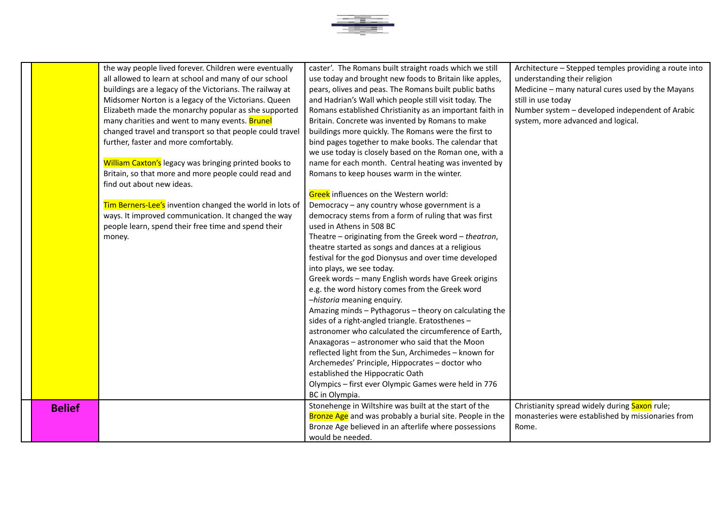

|               | the way people lived forever. Children were eventually   | caster'. The Romans built straight roads which we still         | Architecture - Stepped temples providing a route into |
|---------------|----------------------------------------------------------|-----------------------------------------------------------------|-------------------------------------------------------|
|               | all allowed to learn at school and many of our school    | use today and brought new foods to Britain like apples,         | understanding their religion                          |
|               | buildings are a legacy of the Victorians. The railway at | pears, olives and peas. The Romans built public baths           | Medicine - many natural cures used by the Mayans      |
|               | Midsomer Norton is a legacy of the Victorians. Queen     | and Hadrian's Wall which people still visit today. The          | still in use today                                    |
|               | Elizabeth made the monarchy popular as she supported     | Romans established Christianity as an important faith in        | Number system - developed independent of Arabic       |
|               | many charities and went to many events. Brunel           | Britain. Concrete was invented by Romans to make                | system, more advanced and logical.                    |
|               | changed travel and transport so that people could travel | buildings more quickly. The Romans were the first to            |                                                       |
|               | further, faster and more comfortably.                    | bind pages together to make books. The calendar that            |                                                       |
|               |                                                          | we use today is closely based on the Roman one, with a          |                                                       |
|               | William Caxton's legacy was bringing printed books to    | name for each month. Central heating was invented by            |                                                       |
|               | Britain, so that more and more people could read and     | Romans to keep houses warm in the winter.                       |                                                       |
|               | find out about new ideas.                                |                                                                 |                                                       |
|               |                                                          | Greek influences on the Western world:                          |                                                       |
|               | Tim Berners-Lee's invention changed the world in lots of | Democracy - any country whose government is a                   |                                                       |
|               | ways. It improved communication. It changed the way      | democracy stems from a form of ruling that was first            |                                                       |
|               | people learn, spend their free time and spend their      | used in Athens in 508 BC                                        |                                                       |
|               | money.                                                   | Theatre - originating from the Greek word - theatron,           |                                                       |
|               |                                                          | theatre started as songs and dances at a religious              |                                                       |
|               |                                                          | festival for the god Dionysus and over time developed           |                                                       |
|               |                                                          | into plays, we see today.                                       |                                                       |
|               |                                                          | Greek words - many English words have Greek origins             |                                                       |
|               |                                                          | e.g. the word history comes from the Greek word                 |                                                       |
|               |                                                          | -historia meaning enquiry.                                      |                                                       |
|               |                                                          | Amazing minds - Pythagorus - theory on calculating the          |                                                       |
|               |                                                          | sides of a right-angled triangle. Eratosthenes -                |                                                       |
|               |                                                          | astronomer who calculated the circumference of Earth,           |                                                       |
|               |                                                          | Anaxagoras - astronomer who said that the Moon                  |                                                       |
|               |                                                          | reflected light from the Sun, Archimedes - known for            |                                                       |
|               |                                                          | Archemedes' Principle, Hippocrates - doctor who                 |                                                       |
|               |                                                          | established the Hippocratic Oath                                |                                                       |
|               |                                                          | Olympics - first ever Olympic Games were held in 776            |                                                       |
|               |                                                          | BC in Olympia.                                                  |                                                       |
| <b>Belief</b> |                                                          | Stonehenge in Wiltshire was built at the start of the           | Christianity spread widely during Saxon rule;         |
|               |                                                          | <b>Bronze Age</b> and was probably a burial site. People in the | monasteries were established by missionaries from     |
|               |                                                          | Bronze Age believed in an afterlife where possessions           | Rome.                                                 |
|               |                                                          | would be needed.                                                |                                                       |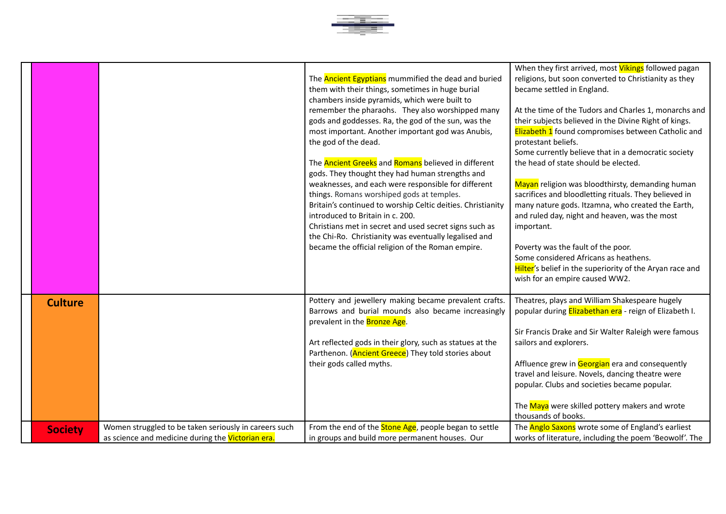

|                |                                                                                                            | The <b>Ancient Egyptians</b> mummified the dead and buried<br>them with their things, sometimes in huge burial<br>chambers inside pyramids, which were built to<br>remember the pharaohs. They also worshipped many<br>gods and goddesses. Ra, the god of the sun, was the<br>most important. Another important god was Anubis,<br>the god of the dead.<br>The <b>Ancient Greeks</b> and <b>Romans</b> believed in different<br>gods. They thought they had human strengths and<br>weaknesses, and each were responsible for different<br>things. Romans worshiped gods at temples.<br>Britain's continued to worship Celtic deities. Christianity<br>introduced to Britain in c. 200.<br>Christians met in secret and used secret signs such as<br>the Chi-Ro. Christianity was eventually legalised and<br>became the official religion of the Roman empire. | When they first arrived, most Vikings followed pagan<br>religions, but soon converted to Christianity as they<br>became settled in England.<br>At the time of the Tudors and Charles 1, monarchs and<br>their subjects believed in the Divine Right of kings.<br>Elizabeth 1 found compromises between Catholic and<br>protestant beliefs.<br>Some currently believe that in a democratic society<br>the head of state should be elected.<br>Mayan religion was bloodthirsty, demanding human<br>sacrifices and bloodletting rituals. They believed in<br>many nature gods. Itzamna, who created the Earth,<br>and ruled day, night and heaven, was the most<br>important.<br>Poverty was the fault of the poor.<br>Some considered Africans as heathens.<br>Hilter's belief in the superiority of the Aryan race and<br>wish for an empire caused WW2. |
|----------------|------------------------------------------------------------------------------------------------------------|----------------------------------------------------------------------------------------------------------------------------------------------------------------------------------------------------------------------------------------------------------------------------------------------------------------------------------------------------------------------------------------------------------------------------------------------------------------------------------------------------------------------------------------------------------------------------------------------------------------------------------------------------------------------------------------------------------------------------------------------------------------------------------------------------------------------------------------------------------------|---------------------------------------------------------------------------------------------------------------------------------------------------------------------------------------------------------------------------------------------------------------------------------------------------------------------------------------------------------------------------------------------------------------------------------------------------------------------------------------------------------------------------------------------------------------------------------------------------------------------------------------------------------------------------------------------------------------------------------------------------------------------------------------------------------------------------------------------------------|
| <b>Culture</b> |                                                                                                            | Pottery and jewellery making became prevalent crafts.<br>Barrows and burial mounds also became increasingly<br>prevalent in the <b>Bronze Age</b> .<br>Art reflected gods in their glory, such as statues at the<br>Parthenon. (Ancient Greece) They told stories about<br>their gods called myths.                                                                                                                                                                                                                                                                                                                                                                                                                                                                                                                                                            | Theatres, plays and William Shakespeare hugely<br>popular during Elizabethan era - reign of Elizabeth I.<br>Sir Francis Drake and Sir Walter Raleigh were famous<br>sailors and explorers.<br>Affluence grew in Georgian era and consequently<br>travel and leisure. Novels, dancing theatre were<br>popular. Clubs and societies became popular.<br>The Maya were skilled pottery makers and wrote<br>thousands of books.                                                                                                                                                                                                                                                                                                                                                                                                                              |
| <b>Society</b> | Women struggled to be taken seriously in careers such<br>as science and medicine during the Victorian era. | From the end of the <b>Stone Age</b> , people began to settle<br>in groups and build more permanent houses. Our                                                                                                                                                                                                                                                                                                                                                                                                                                                                                                                                                                                                                                                                                                                                                | The <b>Anglo Saxons</b> wrote some of England's earliest<br>works of literature, including the poem 'Beowolf'. The                                                                                                                                                                                                                                                                                                                                                                                                                                                                                                                                                                                                                                                                                                                                      |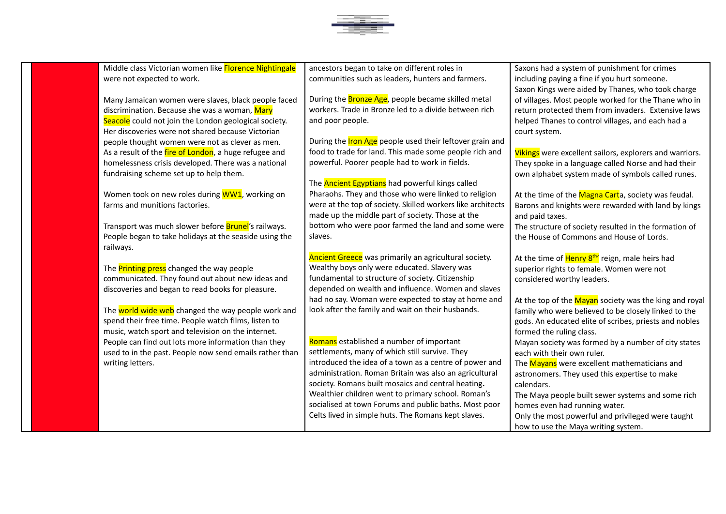

Middle class Victorian women like Florence Nightingale were not expected to work.

Many Jamaican women were slaves, black people faced discrimination. Because she was a woman, Mary Seacole could not join the London geological society. Her discoveries were not shared because Victorian people thought women were not as clever as men. As a result of the *fire of London*, a huge refugee and homelessness crisis developed. There was a national fundraising scheme set up to help them.

Women took on new roles during WW1, working on farms and munitions factories.

Transport was much slower before **Brunel's** railways. People began to take holidays at the seaside using the railways.

The **Printing press** changed the way people communicated. They found out about new ideas and discoveries and began to read books for pleasure.

The world wide web changed the way people work and spend their free time. People watch films, listen to music, watch sport and television on the internet. People can find out lots more information than they used to in the past. People now send emails rather than writing letters.

ancestors began to take on different roles in communities such as leaders, hunters and farmers.

During the **Bronze Age**, people became skilled metal workers. Trade in Bronze led to a divide between rich and poor people.

During the **Iron Age** people used their leftover grain and food to trade for land. This made some people rich and powerful. Poorer people had to work in fields.

The **Ancient Egyptians** had powerful kings called Pharaohs. They and those who were linked to religion were at the top of society. Skilled workers like architects made up the middle part of society. Those at the bottom who were poor farmed the land and some were slaves.

Ancient Greece was primarily an agricultural society. Wealthy boys only were educated. Slavery was fundamental to structure of society. Citizenship depended on wealth and influence. Women and slaves had no say. Woman were expected to stay at home and look after the family and wait on their husbands.

Romans established a number of important settlements, many of which still survive. They introduced the idea of a town as a centre of power and administration. Roman Britain was also an agricultural society. Romans built mosaics and central heating**.** Wealthier children went to primary school. Roman's socialised at town Forums and public baths. Most poor Celts lived in simple huts. The Romans kept slaves.

Saxons had a system of punishment for crimes including paying a fine if you hurt someone. Saxon Kings were aided by Thanes, who took charge of villages. Most people worked for the Thane who in return protected them from invaders. Extensive laws helped Thanes to control villages, and each had a court system.

Vikings were excellent sailors, explorers and warriors. They spoke in a language called Norse and had their own alphabet system made of symbols called runes.

At the time of the Magna Carta, society was feudal. Barons and knights were rewarded with land by kings and paid taxes.

The structure of society resulted in the formation of the House of Commons and House of Lords.

At the time of <mark>Henry 8<sup>th</sup>'</mark> reign, male heirs had superior rights to female. Women were not considered worthy leaders.

At the top of the Mayan society was the king and royal family who were believed to be closely linked to the gods. An educated elite of scribes, priests and nobles formed the ruling class.

Mayan society was formed by a number of city states each with their own ruler.

The **Mayans** were excellent mathematicians and astronomers. They used this expertise to make calendars.

The Maya people built sewer systems and some rich homes even had running water. Only the most powerful and privileged were taught

how to use the Maya writing system.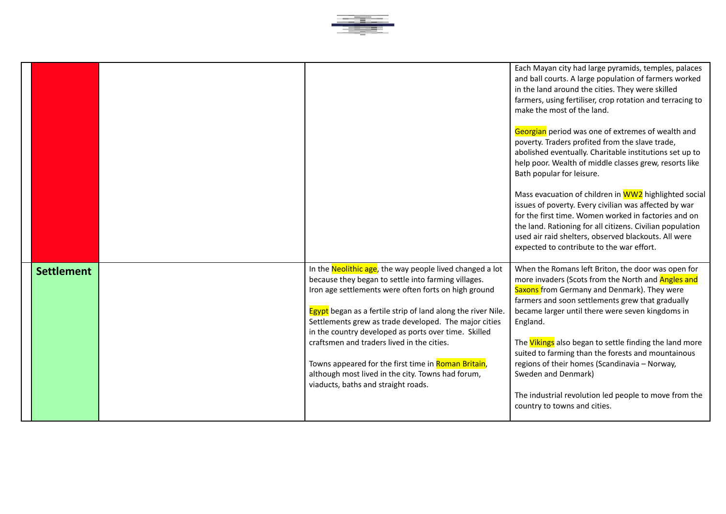

|                   |                                                                                                                                                                                                                                                                                                                                                                                                                                                                                                                                                                          | Each Mayan city had large pyramids, temples, palaces<br>and ball courts. A large population of farmers worked<br>in the land around the cities. They were skilled<br>farmers, using fertiliser, crop rotation and terracing to<br>make the most of the land.<br>Georgian period was one of extremes of wealth and<br>poverty. Traders profited from the slave trade,<br>abolished eventually. Charitable institutions set up to<br>help poor. Wealth of middle classes grew, resorts like<br>Bath popular for leisure.<br>Mass evacuation of children in WW2 highlighted social<br>issues of poverty. Every civilian was affected by war<br>for the first time. Women worked in factories and on<br>the land. Rationing for all citizens. Civilian population<br>used air raid shelters, observed blackouts. All were<br>expected to contribute to the war effort. |
|-------------------|--------------------------------------------------------------------------------------------------------------------------------------------------------------------------------------------------------------------------------------------------------------------------------------------------------------------------------------------------------------------------------------------------------------------------------------------------------------------------------------------------------------------------------------------------------------------------|--------------------------------------------------------------------------------------------------------------------------------------------------------------------------------------------------------------------------------------------------------------------------------------------------------------------------------------------------------------------------------------------------------------------------------------------------------------------------------------------------------------------------------------------------------------------------------------------------------------------------------------------------------------------------------------------------------------------------------------------------------------------------------------------------------------------------------------------------------------------|
| <b>Settlement</b> | In the <b>Neolithic age</b> , the way people lived changed a lot<br>because they began to settle into farming villages.<br>Iron age settlements were often forts on high ground<br><b>Egypt</b> began as a fertile strip of land along the river Nile.<br>Settlements grew as trade developed. The major cities<br>in the country developed as ports over time. Skilled<br>craftsmen and traders lived in the cities.<br>Towns appeared for the first time in Roman Britain,<br>although most lived in the city. Towns had forum,<br>viaducts, baths and straight roads. | When the Romans left Briton, the door was open for<br>more invaders (Scots from the North and Angles and<br>Saxons from Germany and Denmark). They were<br>farmers and soon settlements grew that gradually<br>became larger until there were seven kingdoms in<br>England.<br>The <i>Vikings</i> also began to settle finding the land more<br>suited to farming than the forests and mountainous<br>regions of their homes (Scandinavia - Norway,<br>Sweden and Denmark)<br>The industrial revolution led people to move from the<br>country to towns and cities.                                                                                                                                                                                                                                                                                                |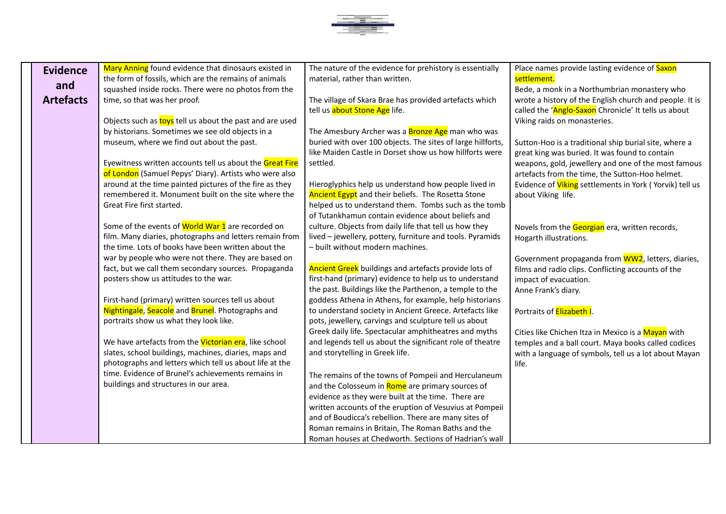

| <b>Evidence</b>  | Mary Anning found evidence that dinosaurs existed in                                                           | The nature of the evidence for prehistory is essentially                                                   | Place names provide lasting evidence of Saxon                  |
|------------------|----------------------------------------------------------------------------------------------------------------|------------------------------------------------------------------------------------------------------------|----------------------------------------------------------------|
| and              | the form of fossils, which are the remains of animals                                                          | material, rather than written.                                                                             | settlement.                                                    |
|                  | squashed inside rocks. There were no photos from the                                                           |                                                                                                            | Bede, a monk in a Northumbrian monastery who                   |
| <b>Artefacts</b> | time, so that was her proof.                                                                                   | The village of Skara Brae has provided artefacts which                                                     | wrote a history of the English church and people. It is        |
|                  |                                                                                                                | tell us about Stone Age life.                                                                              | called the 'Anglo-Saxon Chronicle' It tells us about           |
|                  | Objects such as toys tell us about the past and are used                                                       |                                                                                                            | Viking raids on monasteries.                                   |
|                  | by historians. Sometimes we see old objects in a                                                               | The Amesbury Archer was a <b>Bronze Age</b> man who was                                                    |                                                                |
|                  | museum, where we find out about the past.                                                                      | buried with over 100 objects. The sites of large hillforts,                                                | Sutton-Hoo is a traditional ship burial site, where a          |
|                  |                                                                                                                | like Maiden Castle in Dorset show us how hillforts were                                                    | great king was buried. It was found to contain                 |
|                  | Eyewitness written accounts tell us about the Great Fire                                                       | settled.                                                                                                   | weapons, gold, jewellery and one of the most famous            |
|                  | of London (Samuel Pepys' Diary). Artists who were also                                                         |                                                                                                            | artefacts from the time, the Sutton-Hoo helmet.                |
|                  | around at the time painted pictures of the fire as they<br>remembered it. Monument built on the site where the | Hieroglyphics help us understand how people lived in                                                       | Evidence of <i>Viking</i> settlements in York (Yorvik) tell us |
|                  | Great Fire first started.                                                                                      | Ancient Egypt and their beliefs. The Rosetta Stone<br>helped us to understand them. Tombs such as the tomb | about Viking life.                                             |
|                  |                                                                                                                | of Tutankhamun contain evidence about beliefs and                                                          |                                                                |
|                  | Some of the events of World War 1 are recorded on                                                              | culture. Objects from daily life that tell us how they                                                     | Novels from the Georgian era, written records,                 |
|                  | film. Many diaries, photographs and letters remain from                                                        | lived - jewellery, pottery, furniture and tools. Pyramids                                                  | Hogarth illustrations.                                         |
|                  | the time. Lots of books have been written about the                                                            | - built without modern machines.                                                                           |                                                                |
|                  | war by people who were not there. They are based on                                                            |                                                                                                            | Government propaganda from WW2, letters, diaries,              |
|                  | fact, but we call them secondary sources. Propaganda                                                           | Ancient Greek buildings and artefacts provide lots of                                                      | films and radio clips. Conflicting accounts of the             |
|                  | posters show us attitudes to the war.                                                                          | first-hand (primary) evidence to help us to understand                                                     | impact of evacuation.                                          |
|                  |                                                                                                                | the past. Buildings like the Parthenon, a temple to the                                                    | Anne Frank's diary.                                            |
|                  | First-hand (primary) written sources tell us about                                                             | goddess Athena in Athens, for example, help historians                                                     |                                                                |
|                  | Nightingale, Seacole and Brunel. Photographs and                                                               | to understand society in Ancient Greece. Artefacts like                                                    | Portraits of Elizabeth I.                                      |
|                  | portraits show us what they look like.                                                                         | pots, jewellery, carvings and sculpture tell us about                                                      |                                                                |
|                  |                                                                                                                | Greek daily life. Spectacular amphitheatres and myths                                                      | Cities like Chichen Itza in Mexico is a Mayan with             |
|                  | We have artefacts from the Victorian era, like school                                                          | and legends tell us about the significant role of theatre                                                  | temples and a ball court. Maya books called codices            |
|                  | slates, school buildings, machines, diaries, maps and                                                          | and storytelling in Greek life.                                                                            | with a language of symbols, tell us a lot about Mayan          |
|                  | photographs and letters which tell us about life at the                                                        |                                                                                                            | life.                                                          |
|                  | time. Evidence of Brunel's achievements remains in                                                             | The remains of the towns of Pompeii and Herculaneum                                                        |                                                                |
|                  | buildings and structures in our area.                                                                          | and the Colosseum in Rome are primary sources of                                                           |                                                                |
|                  |                                                                                                                | evidence as they were built at the time. There are                                                         |                                                                |
|                  |                                                                                                                | written accounts of the eruption of Vesuvius at Pompeii                                                    |                                                                |
|                  |                                                                                                                | and of Boudicca's rebellion. There are many sites of                                                       |                                                                |
|                  |                                                                                                                | Roman remains in Britain, The Roman Baths and the                                                          |                                                                |
|                  |                                                                                                                | Roman houses at Chedworth. Sections of Hadrian's wall                                                      |                                                                |